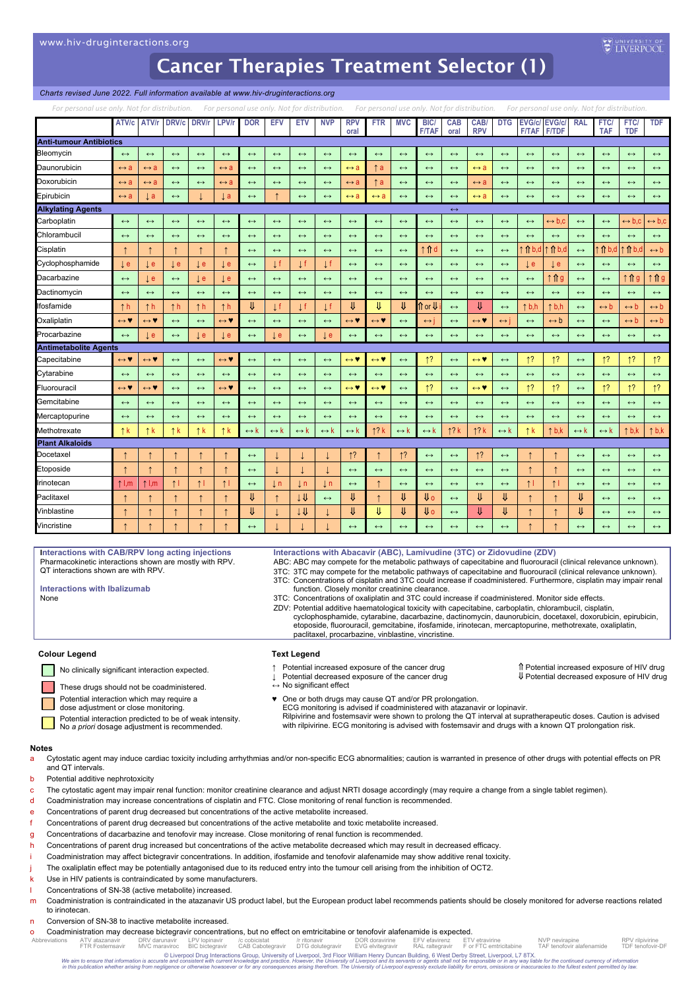## *Charts revised June 2022. Full information available at www.hiv-druginteractions.org*

| For personal use only. Not for distribution.<br>For personal use only. Not for distribution.<br>For personal use only. Not for distribution.<br>For personal use only. Not for distribution. |                                      |                                      |                       |                   |                                      |                       |                     |                       |                       |                                      |                                      |                     |                                          |                    |                                      |                       |                                      |                       |                       |                          |                          |                       |
|----------------------------------------------------------------------------------------------------------------------------------------------------------------------------------------------|--------------------------------------|--------------------------------------|-----------------------|-------------------|--------------------------------------|-----------------------|---------------------|-----------------------|-----------------------|--------------------------------------|--------------------------------------|---------------------|------------------------------------------|--------------------|--------------------------------------|-----------------------|--------------------------------------|-----------------------|-----------------------|--------------------------|--------------------------|-----------------------|
|                                                                                                                                                                                              |                                      | ATV/c ATV/r DRV/c DRV/r              |                       |                   | LPV/r                                | <b>DOR</b>            | <b>EFV</b>          | <b>ETV</b>            | <b>NVP</b>            | <b>RPV</b><br>oral                   | <b>FTR</b>                           | <b>MVC</b>          | <b>BIC</b><br><b>F/TAF</b>               | <b>CAB</b><br>oral | CAB/<br><b>RPV</b>                   | <b>DTG</b>            | <b>EVG/c/ EVG/c/</b><br><b>F/TAF</b> | <b>F/TDF</b>          | <b>RAL</b>            | <b>FTC</b><br><b>TAF</b> | <b>FTC</b><br><b>TDF</b> | <b>TDF</b>            |
| <b>Anti-tumour Antibiotics</b>                                                                                                                                                               |                                      |                                      |                       |                   |                                      |                       |                     |                       |                       |                                      |                                      |                     |                                          |                    |                                      |                       |                                      |                       |                       |                          |                          |                       |
| Bleomycin                                                                                                                                                                                    | $\leftrightarrow$                    | $\leftrightarrow$                    | $\leftrightarrow$     | $\leftrightarrow$ | $\leftrightarrow$                    | $\leftrightarrow$     | $\leftrightarrow$   | $\leftrightarrow$     | $\leftrightarrow$     | $\longleftrightarrow$                | $\leftrightarrow$                    | $\leftrightarrow$   | $\leftrightarrow$                        | $\leftrightarrow$  | $\longleftrightarrow$                | $\longleftrightarrow$ | $\leftrightarrow$                    | $\leftrightarrow$     | $\leftrightarrow$     | $\leftrightarrow$        | $\leftrightarrow$        | $\leftrightarrow$     |
| Daunorubicin                                                                                                                                                                                 | $\leftrightarrow$ a                  | $\leftrightarrow$ a                  | $\leftrightarrow$     | $\leftrightarrow$ | $\leftrightarrow$ a                  | $\leftrightarrow$     | $\leftrightarrow$   | $\leftrightarrow$     | $\leftrightarrow$     | ⇔ a                                  | t a                                  | $\leftrightarrow$   | $\leftrightarrow$                        | $\leftrightarrow$  | $\leftrightarrow$ a                  | $\leftrightarrow$     | $\leftrightarrow$                    | $\leftrightarrow$     | $\leftrightarrow$     | $\leftrightarrow$        | $\leftrightarrow$        | $\leftrightarrow$     |
| Doxorubicin                                                                                                                                                                                  | $\leftrightarrow a$                  | $\leftrightarrow$ a                  | $\leftrightarrow$     | $\leftrightarrow$ | $\leftrightarrow$ a                  | $\leftrightarrow$     | $\leftrightarrow$   | $\longleftrightarrow$ | $\longleftrightarrow$ | $\leftrightarrow$ a                  | $\uparrow$ a                         | $\leftrightarrow$   | $\longleftrightarrow$                    | $\leftrightarrow$  | $\leftrightarrow$ a                  | $\leftrightarrow$     | $\leftrightarrow$                    | $\leftrightarrow$     | $\leftrightarrow$     | $\leftrightarrow$        | $\leftrightarrow$        | $\longleftrightarrow$ |
| Epirubicin                                                                                                                                                                                   | $\leftrightarrow$ a                  | ιa                                   | $\leftrightarrow$     |                   | $\downarrow$ a                       | $\leftrightarrow$     |                     | $\longleftrightarrow$ | $\longleftrightarrow$ | ⇔ a                                  | ⇔ a                                  | $\leftrightarrow$   | $\leftrightarrow$                        | $\leftrightarrow$  | $\leftrightarrow$ a                  | $\leftrightarrow$     | $\leftrightarrow$                    | $\leftrightarrow$     | $\leftrightarrow$     | $\longleftrightarrow$    | $\leftrightarrow$        | $\leftrightarrow$     |
| <b>Alkylating Agents</b>                                                                                                                                                                     |                                      |                                      |                       |                   |                                      |                       |                     |                       |                       |                                      |                                      |                     |                                          | $\leftrightarrow$  |                                      |                       |                                      |                       |                       |                          |                          |                       |
| Carboplatin                                                                                                                                                                                  | $\leftrightarrow$                    | $\leftrightarrow$                    | $\leftrightarrow$     | $\leftrightarrow$ | $\leftrightarrow$                    | $\leftrightarrow$     | $\leftrightarrow$   | $\longleftrightarrow$ | $\leftrightarrow$     | $\leftrightarrow$                    | $\longleftrightarrow$                | $\leftrightarrow$   | $\leftrightarrow$                        | $\leftrightarrow$  | $\leftrightarrow$                    | $\leftrightarrow$     | $\leftrightarrow$                    | $\leftrightarrow$ b.c | $\leftrightarrow$     | $\leftrightarrow$        | (→ b.c                   | $\mapsto$ b,c         |
| Chlorambucil                                                                                                                                                                                 | $\leftrightarrow$                    | $\leftrightarrow$                    | $\leftrightarrow$     | $\leftrightarrow$ | $\leftrightarrow$                    | $\leftrightarrow$     | $\leftrightarrow$   | $\longleftrightarrow$ | $\leftrightarrow$     | $\leftrightarrow$                    | $\longleftrightarrow$                | $\leftrightarrow$   | $\leftrightarrow$                        | $\leftrightarrow$  | $\leftrightarrow$                    | $\leftrightarrow$     | $\leftrightarrow$                    | $\leftrightarrow$     | $\longleftrightarrow$ | $\longleftrightarrow$    | $\leftrightarrow$        | $\longleftrightarrow$ |
| Cisplatin                                                                                                                                                                                    |                                      |                                      |                       |                   |                                      | $\leftrightarrow$     | $\leftrightarrow$   | $\longleftrightarrow$ | $\leftrightarrow$     | $\leftrightarrow$                    | $\longleftrightarrow$                | $\leftrightarrow$   | 1 <sup>1</sup> d                         | $\leftrightarrow$  | $\leftrightarrow$                    | $\leftrightarrow$     | $\hat{\mathsf{n}}$ b,c               | ↑b,d                  | $\leftrightarrow$     | <b>↑</b> b,d             | $\hat{\mathsf{n}}$ b,c   | $\leftrightarrow b$   |
| Cyclophosphamide                                                                                                                                                                             | l e                                  | $\mathsf{L}$ e                       | ιe                    | ιe                | t e                                  | $\leftrightarrow$     | Πf                  | Ιf                    | ιf                    | $\leftrightarrow$                    | $\leftrightarrow$                    | $\leftrightarrow$   | $\leftrightarrow$                        | $\leftrightarrow$  | $\leftrightarrow$                    | $\leftrightarrow$     | ιe                                   | Įе                    | $\leftrightarrow$     | $\leftrightarrow$        | $\leftrightarrow$        | $\leftrightarrow$     |
| Dacarbazine                                                                                                                                                                                  | $\leftrightarrow$                    | $\mathsf{L}$ e                       | $\leftrightarrow$     | ιe                | ιe                                   | $\leftrightarrow$     | $\leftrightarrow$   | $\leftrightarrow$     | $\leftrightarrow$     | $\longleftrightarrow$                | $\leftrightarrow$                    | $\leftrightarrow$   | $\leftrightarrow$                        | $\leftrightarrow$  | $\leftrightarrow$                    | $\leftrightarrow$     | $\longleftrightarrow$                | ↑↑g                   | $\longleftrightarrow$ | $\leftrightarrow$        | î î g                    | î î g                 |
| Dactinomycin                                                                                                                                                                                 | $\leftrightarrow$                    | $\leftrightarrow$                    | $\leftrightarrow$     | $\leftrightarrow$ | $\leftrightarrow$                    | $\leftrightarrow$     | $\leftrightarrow$   | $\leftrightarrow$     | $\leftrightarrow$     | $\leftrightarrow$                    | $\leftrightarrow$                    | $\leftrightarrow$   | $\leftrightarrow$                        | $\leftrightarrow$  | $\leftrightarrow$                    | $\leftrightarrow$     | $\leftrightarrow$                    | $\leftrightarrow$     | $\leftrightarrow$     | $\leftrightarrow$        | $\leftrightarrow$        | $\leftrightarrow$     |
| lfosfamide                                                                                                                                                                                   | $\uparrow$ h                         | $\uparrow$ h                         | $\uparrow$ h          | $\uparrow$ h      | $\uparrow$ h                         | ⇓                     | ιf                  | Τŧ                    | ↓f                    | ⇓                                    | ₩                                    | ⇓                   | $\hat{\mathbb{I}}$ or $\hat{\mathbb{U}}$ | $\leftrightarrow$  | ₩                                    | $\leftrightarrow$     | $\uparrow$ b,h                       | $\uparrow$ b,h        | $\leftrightarrow$     | $\leftrightarrow b$      | $\leftrightarrow$ b      | $\leftrightarrow b$   |
| Oxaliplatin                                                                                                                                                                                  | $\leftrightarrow$ V                  | $\leftrightarrow$ Y                  | $\leftrightarrow$     | $\leftrightarrow$ | $\leftrightarrow$ Y                  | $\leftrightarrow$     | $\leftrightarrow$   | $\longleftrightarrow$ | $\leftrightarrow$     | $\leftrightarrow$ V                  | $\leftrightarrow$ V                  | $\leftrightarrow$   | $\leftrightarrow$                        | $\leftrightarrow$  | $\leftrightarrow \blacktriangledown$ | $\leftrightarrow$     | $\leftrightarrow$                    | $\leftrightarrow$ b   | $\leftrightarrow$     | $\leftrightarrow$        | $\leftrightarrow b$      | $\leftrightarrow b$   |
| Procarbazine                                                                                                                                                                                 | $\leftrightarrow$                    | l e                                  | $\leftrightarrow$     | l e               | $\downarrow$ e                       | $\leftrightarrow$     | <b>Je</b>           | $\leftrightarrow$     | $\downarrow$ e        | $\leftrightarrow$                    | $\leftrightarrow$                    | $\leftrightarrow$   | $\leftrightarrow$                        | $\leftrightarrow$  | $\leftrightarrow$                    | $\leftrightarrow$     | $\leftrightarrow$                    | $\leftrightarrow$     | $\leftrightarrow$     | $\leftrightarrow$        | $\leftrightarrow$        | $\leftrightarrow$     |
| <b>Antimetabolite Agents</b>                                                                                                                                                                 |                                      |                                      |                       |                   |                                      |                       |                     |                       |                       |                                      |                                      |                     |                                          |                    |                                      |                       |                                      |                       |                       |                          |                          |                       |
| Capecitabine                                                                                                                                                                                 | $\leftrightarrow \blacktriangledown$ | $\leftrightarrow \blacktriangledown$ | $\longleftrightarrow$ | $\leftrightarrow$ | $\leftrightarrow \blacktriangledown$ | $\longleftrightarrow$ | $\leftrightarrow$   | $\longleftrightarrow$ | $\leftrightarrow$     | $\leftrightarrow \blacktriangledown$ | $\leftrightarrow \blacktriangledown$ | $\leftrightarrow$   | 1?                                       | $\leftrightarrow$  | $\leftrightarrow \mathbf{v}$         | $\longleftrightarrow$ | 1?                                   | 1?                    | $\leftrightarrow$     | 1?                       | $\uparrow$ ?             | 1?                    |
| Cytarabine                                                                                                                                                                                   | $\leftrightarrow$                    | $\leftrightarrow$                    | $\leftrightarrow$     | $\leftrightarrow$ | $\leftrightarrow$                    | $\leftrightarrow$     | $\leftrightarrow$   | $\leftrightarrow$     | $\leftrightarrow$     | $\leftrightarrow$                    | $\longleftrightarrow$                | $\leftrightarrow$   | $\leftrightarrow$                        | $\leftrightarrow$  | $\leftrightarrow$                    | $\leftrightarrow$     | $\leftrightarrow$                    | $\leftrightarrow$     | $\leftrightarrow$     | $\leftrightarrow$        | $\leftrightarrow$        | $\leftrightarrow$     |
| Fluorouracil                                                                                                                                                                                 | $\leftrightarrow$ V                  | $\leftrightarrow$ V                  | $\leftrightarrow$     | $\leftrightarrow$ | $\leftrightarrow \blacktriangledown$ | $\leftrightarrow$     | $\leftrightarrow$   | $\longleftrightarrow$ | $\longleftrightarrow$ | $\leftrightarrow$ V                  | $\leftrightarrow$ Y                  | $\leftrightarrow$   | 1?                                       | $\leftrightarrow$  | $\leftrightarrow$ V                  | $\leftrightarrow$     | $\uparrow$ ?                         | 1?                    | $\leftrightarrow$     | 1?                       | 1?                       | 1?                    |
| Gemcitabine                                                                                                                                                                                  | $\leftrightarrow$                    | $\leftrightarrow$                    | $\leftrightarrow$     | $\leftrightarrow$ | $\leftrightarrow$                    | $\leftrightarrow$     | $\leftrightarrow$   | $\longleftrightarrow$ | $\leftrightarrow$     | $\leftrightarrow$                    | $\longleftrightarrow$                | $\leftrightarrow$   | $\leftrightarrow$                        | $\leftrightarrow$  | $\leftrightarrow$                    | $\leftrightarrow$     | $\leftrightarrow$                    | $\leftrightarrow$     | $\leftrightarrow$     | $\leftrightarrow$        | $\leftrightarrow$        | $\longleftrightarrow$ |
| Mercaptopurine                                                                                                                                                                               | $\leftrightarrow$                    | $\leftrightarrow$                    | $\leftrightarrow$     | $\leftrightarrow$ | $\leftrightarrow$                    | $\leftrightarrow$     | $\leftrightarrow$   | $\leftrightarrow$     | $\leftrightarrow$     | $\leftrightarrow$                    | $\longleftrightarrow$                | $\leftrightarrow$   | $\leftrightarrow$                        | $\leftrightarrow$  | $\leftrightarrow$                    | $\leftrightarrow$     | $\leftrightarrow$                    | $\leftrightarrow$     | $\leftrightarrow$     | $\leftrightarrow$        | $\leftrightarrow$        | $\longleftrightarrow$ |
| Methotrexate                                                                                                                                                                                 | $\uparrow$ k                         | ↑k                                   | ↑k                    | ↑k                | $\uparrow$ k                         | $\leftrightarrow k$   | $\leftrightarrow$ k | $\leftrightarrow$ k   | $\leftrightarrow$ k   | $\leftrightarrow$ k                  | 12k                                  | $\leftrightarrow$ k | $\leftrightarrow$ k                      | 12k                | 12k                                  | $\leftrightarrow$ k   | $\uparrow$ k                         | $\uparrow$ b,k        | $\leftrightarrow$ k   | $\leftrightarrow$ k      | $\uparrow$ b,k           | $\uparrow$ b,k        |
| <b>Plant Alkaloids</b>                                                                                                                                                                       |                                      |                                      |                       |                   |                                      |                       |                     |                       |                       |                                      |                                      |                     |                                          |                    |                                      |                       |                                      |                       |                       |                          |                          |                       |
| Docetaxel                                                                                                                                                                                    |                                      |                                      |                       |                   |                                      | $\leftrightarrow$     |                     |                       |                       | 1?                                   |                                      | 1?                  | $\leftrightarrow$                        | $\leftrightarrow$  | $\uparrow$ ?                         | $\leftrightarrow$     |                                      |                       | $\leftrightarrow$     | $\longleftrightarrow$    | $\leftrightarrow$        | $\longleftrightarrow$ |
| Etoposide                                                                                                                                                                                    |                                      |                                      |                       |                   |                                      | $\leftrightarrow$     |                     |                       |                       | $\leftrightarrow$                    | $\longleftrightarrow$                | $\leftrightarrow$   | $\leftrightarrow$                        | $\leftrightarrow$  | $\leftrightarrow$                    | $\leftrightarrow$     |                                      |                       | $\leftrightarrow$     | $\leftrightarrow$        | $\leftrightarrow$        | $\leftrightarrow$     |
| Irinotecan                                                                                                                                                                                   | $\uparrow$ l,m                       | $\uparrow$ l,m                       | 11                    | $\uparrow$        | $\uparrow$                           | $\longleftrightarrow$ | $\downarrow$ n      | ιn                    | $\downarrow$ n        | $\leftrightarrow$                    |                                      | $\leftrightarrow$   | $\longleftrightarrow$                    | $\leftrightarrow$  | $\leftrightarrow$                    | $\leftrightarrow$     | $\uparrow$                           | $\uparrow$            | $\leftrightarrow$     | $\longleftrightarrow$    | $\leftrightarrow$        | $\longleftrightarrow$ |
| Paclitaxel                                                                                                                                                                                   |                                      |                                      |                       |                   | $\uparrow$                           | ⇓                     | $\uparrow$          | ↓U                    | $\longleftrightarrow$ | ₩                                    | $\uparrow$                           | ⇓                   | <b>U</b> o                               | $\leftrightarrow$  | ⇓                                    | ⇓                     | $\uparrow$                           |                       | ₩                     | $\leftrightarrow$        | $\leftrightarrow$        | $\longleftrightarrow$ |
| /inblastine                                                                                                                                                                                  |                                      |                                      |                       |                   |                                      | ₩                     |                     | ↓↓                    |                       | ₩                                    | ₩                                    | ₩                   | Ψo                                       | $\leftrightarrow$  | ₩                                    | ⇓                     |                                      |                       | ₩                     | $\leftrightarrow$        | $\leftrightarrow$        | $\longleftrightarrow$ |
| Vincristine                                                                                                                                                                                  |                                      |                                      |                       |                   |                                      | $\leftrightarrow$     |                     |                       |                       | $\leftrightarrow$                    | $\leftrightarrow$                    | $\leftrightarrow$   | $\leftrightarrow$                        | $\leftrightarrow$  | $\leftrightarrow$                    | $\leftrightarrow$     |                                      |                       | $\leftrightarrow$     | $\leftrightarrow$        | $\leftrightarrow$        | $\leftrightarrow$     |

**Interactions with CAB/RPV long acting injections** Pharmacokinetic interactions shown are mostly with RPV. QT interactions shown are with RPV.

### **Interactions with Abacavir (ABC), Lamivudine (3TC) or Zidovudine (ZDV)**

ABC: ABC may compete for the metabolic pathways of capecitabine and fluorouracil (clinical relevance unknown). 3TC: 3TC may compete for the metabolic pathways of capecitabine and fluorouracil (clinical relevance unknown). 3TC: Concentrations of cisplatin and 3TC could increase if coadministered. Furthermore, cisplatin may impair renal

- function. Closely monitor creatinine clearance. 3TC: Concentrations of oxaliplatin and 3TC could increase if coadministered. Monitor side effects.
- ZDV: Potential additive haematological toxicity with capecitabine, carboplatin, chlorambucil, cisplatin,
	- cyclophosphamide, cytarabine, dacarbazine, dactinomycin, daunorubicin, docetaxel, doxorubicin, epirubicin, etoposide, fluorouracil, gemcitabine, ifosfamide, irinotecan, mercaptopurine, methotrexate, oxaliplatin, paclitaxel, procarbazine, vinblastine, vincristine.

### **Colour Legend Text Legend**

None

- These drugs should not be coadministered.
- Potential interaction which may require a
- dose adjustment or close monitoring.

Potential interaction predicted to be of weak intensity.

No *a priori* dosage adjustment is recommended.

#### **Notes**

a Cytostatic agent may induce cardiac toxicity including arrhythmias and/or non-specific ECG abnormalities; caution is warranted in presence of other drugs with potential effects on PR and QT intervals.

b Potential additive nephrotoxicity

**Interactions with Ibalizumab**

- c The cytostatic agent may impair renal function: monitor creatinine clearance and adjust NRTI dosage accordingly (may require a change from a single tablet regimen).
- d Coadministration may increase concentrations of cisplatin and FTC. Close monitoring of renal function is recommended.
- e Concentrations of parent drug decreased but concentrations of the active metabolite increased.
- f Concentrations of parent drug decreased but concentrations of the active metabolite and toxic metabolite increased.
- g Concentrations of dacarbazine and tenofovir may increase. Close monitoring of renal function is recommended.
- h Concentrations of parent drug increased but concentrations of the active metabolite decreased which may result in decreased efficacy.
- i Coadministration may affect bictegravir concentrations. In addition, ifosfamide and tenofovir alafenamide may show additive renal toxicity.
- The oxaliplatin effect may be potentially antagonised due to its reduced entry into the tumour cell arising from the inhibition of OCT2.
- Use in HIV patients is contraindicated by some manufacturers.
- Concentrations of SN-38 (active metabolite) increased.
- m Coadministration is contraindicated in the atazanavir US product label, but the European product label recommends patients should be closely monitored for adverse reactions related to irinotecan.
- n Conversion of SN-38 to inactive metabolite increased.
- Coadministration may decrease bictegravir concentrations, but no effect on emtricitabine or tenofovir alafenamide is expected.
- Abbreviations ATV atazanavir DRV darunavir LPV lopinavir /c cobicistat /r ritonavir DOR doravirine EFV efavirenz ETV etravirine NVP nevirapine NVP nevirapine RPV rilpivirine<br>FTR Fostemsavir MVC maraviroc BIC bictegravir CA

© Liverpool Drug Interactions Group, University of Liverpool, 3rd Floor William Henry Duncan Building, 6 West Derby Street, Liverpool, L7 8TX.<br>We aim to ensure that information is accurate and consistent with current knowl

No clinically significant interaction expected. 
↑ Potential increased exposure of HIV drug **Potential increased exposure of HIV drug**<br>
Potential decreased exposure of HIV drug Potential decreased exposure of HIV drug Pot

- ↓ Potential decreased exposure of the cancer drug Potential decreased exposure of HIV drug ↔ No significant effect
- ♥ One or both drugs may cause QT and/or PR prolongation. ECG monitoring is advised if coadministered with atazanavir or lopinavir.

Rilpivirine and fostemsavir were shown to prolong the QT interval at supratherapeutic doses. Caution is advised with rilpivirine. ECG monitoring is advised with fostemsavir and drugs with a known QT prolongation risk.